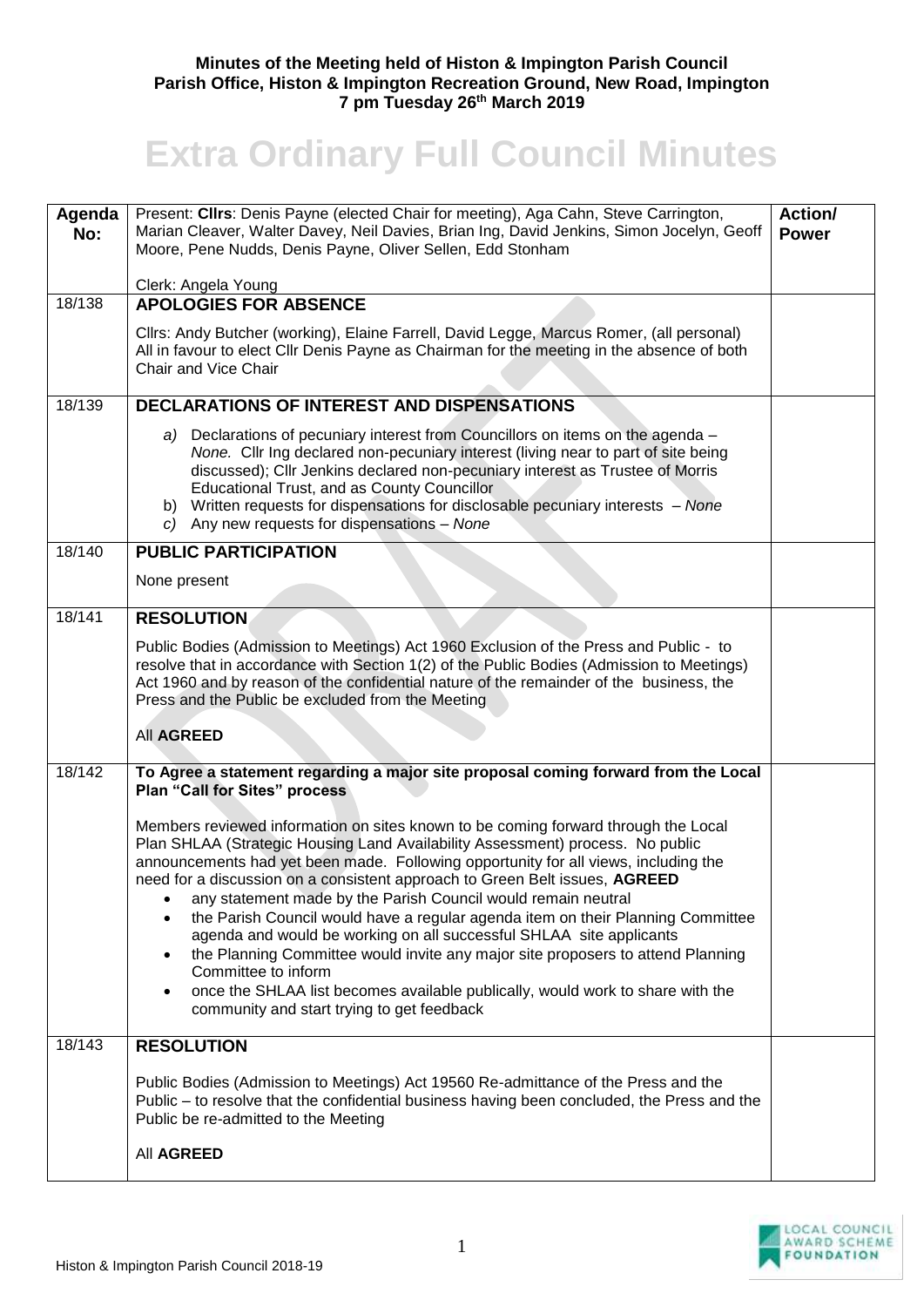## **Minutes of the Meeting held of Histon & Impington Parish Council Parish Office, Histon & Impington Recreation Ground, New Road, Impington 7 pm Tuesday 26th March 2019**

## **Extra Ordinary Full Council Minutes**

| Agenda | Present: Clirs: Denis Payne (elected Chair for meeting), Aga Cahn, Steve Carrington,                                                                                                                                                                                                                                                                                                                                                                                                                                                                                                                                                                                                                                                                                                                                                      | Action/      |
|--------|-------------------------------------------------------------------------------------------------------------------------------------------------------------------------------------------------------------------------------------------------------------------------------------------------------------------------------------------------------------------------------------------------------------------------------------------------------------------------------------------------------------------------------------------------------------------------------------------------------------------------------------------------------------------------------------------------------------------------------------------------------------------------------------------------------------------------------------------|--------------|
| No:    | Marian Cleaver, Walter Davey, Neil Davies, Brian Ing, David Jenkins, Simon Jocelyn, Geoff<br>Moore, Pene Nudds, Denis Payne, Oliver Sellen, Edd Stonham                                                                                                                                                                                                                                                                                                                                                                                                                                                                                                                                                                                                                                                                                   | <b>Power</b> |
|        | Clerk: Angela Young                                                                                                                                                                                                                                                                                                                                                                                                                                                                                                                                                                                                                                                                                                                                                                                                                       |              |
| 18/138 | <b>APOLOGIES FOR ABSENCE</b>                                                                                                                                                                                                                                                                                                                                                                                                                                                                                                                                                                                                                                                                                                                                                                                                              |              |
|        | Cllrs: Andy Butcher (working), Elaine Farrell, David Legge, Marcus Romer, (all personal)<br>All in favour to elect Cllr Denis Payne as Chairman for the meeting in the absence of both<br><b>Chair and Vice Chair</b>                                                                                                                                                                                                                                                                                                                                                                                                                                                                                                                                                                                                                     |              |
| 18/139 | <b>DECLARATIONS OF INTEREST AND DISPENSATIONS</b>                                                                                                                                                                                                                                                                                                                                                                                                                                                                                                                                                                                                                                                                                                                                                                                         |              |
|        | a) Declarations of pecuniary interest from Councillors on items on the agenda -<br>None. Cllr Ing declared non-pecuniary interest (living near to part of site being<br>discussed); Cllr Jenkins declared non-pecuniary interest as Trustee of Morris<br>Educational Trust, and as County Councillor<br>b) Written requests for dispensations for disclosable pecuniary interests - None<br>c) Any new requests for dispensations $-$ None                                                                                                                                                                                                                                                                                                                                                                                                |              |
| 18/140 | <b>PUBLIC PARTICIPATION</b>                                                                                                                                                                                                                                                                                                                                                                                                                                                                                                                                                                                                                                                                                                                                                                                                               |              |
|        | None present                                                                                                                                                                                                                                                                                                                                                                                                                                                                                                                                                                                                                                                                                                                                                                                                                              |              |
| 18/141 | <b>RESOLUTION</b>                                                                                                                                                                                                                                                                                                                                                                                                                                                                                                                                                                                                                                                                                                                                                                                                                         |              |
|        | Public Bodies (Admission to Meetings) Act 1960 Exclusion of the Press and Public - to<br>resolve that in accordance with Section 1(2) of the Public Bodies (Admission to Meetings)<br>Act 1960 and by reason of the confidential nature of the remainder of the business, the<br>Press and the Public be excluded from the Meeting                                                                                                                                                                                                                                                                                                                                                                                                                                                                                                        |              |
|        | <b>All AGREED</b>                                                                                                                                                                                                                                                                                                                                                                                                                                                                                                                                                                                                                                                                                                                                                                                                                         |              |
| 18/142 | To Agree a statement regarding a major site proposal coming forward from the Local<br><b>Plan "Call for Sites" process</b>                                                                                                                                                                                                                                                                                                                                                                                                                                                                                                                                                                                                                                                                                                                |              |
|        | Members reviewed information on sites known to be coming forward through the Local<br>Plan SHLAA (Strategic Housing Land Availability Assessment) process. No public<br>announcements had yet been made. Following opportunity for all views, including the<br>need for a discussion on a consistent approach to Green Belt issues, AGREED<br>any statement made by the Parish Council would remain neutral<br>the Parish Council would have a regular agenda item on their Planning Committee<br>agenda and would be working on all successful SHLAA site applicants<br>the Planning Committee would invite any major site proposers to attend Planning<br>$\bullet$<br>Committee to inform<br>once the SHLAA list becomes available publically, would work to share with the<br>$\bullet$<br>community and start trying to get feedback |              |
| 18/143 | <b>RESOLUTION</b>                                                                                                                                                                                                                                                                                                                                                                                                                                                                                                                                                                                                                                                                                                                                                                                                                         |              |
|        | Public Bodies (Admission to Meetings) Act 19560 Re-admittance of the Press and the<br>Public – to resolve that the confidential business having been concluded, the Press and the<br>Public be re-admitted to the Meeting<br>All AGREED                                                                                                                                                                                                                                                                                                                                                                                                                                                                                                                                                                                                   |              |
|        |                                                                                                                                                                                                                                                                                                                                                                                                                                                                                                                                                                                                                                                                                                                                                                                                                                           |              |